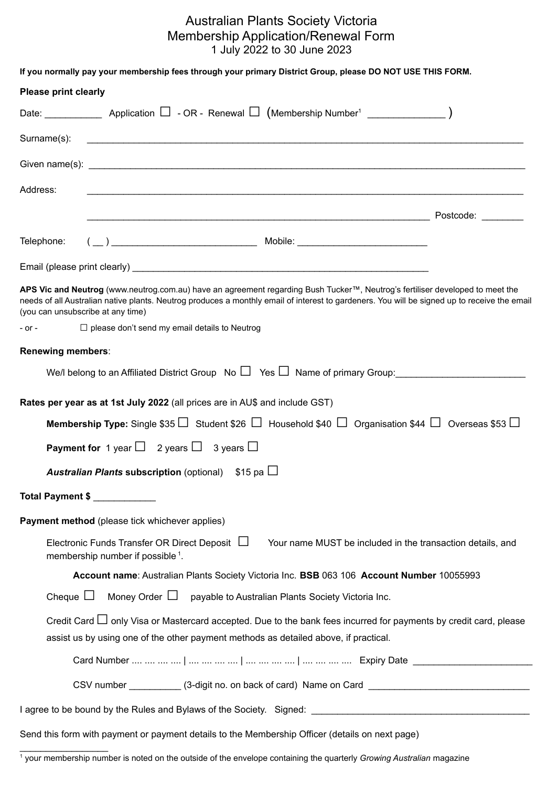## Australian Plants Society Victoria Membership Application/Renewal Form 1 July 2022 to 30 June 2023

| If you normally pay your membership fees through your primary District Group, please DO NOT USE THIS FORM.                                                                                                                                                                                                         |                                                            |
|--------------------------------------------------------------------------------------------------------------------------------------------------------------------------------------------------------------------------------------------------------------------------------------------------------------------|------------------------------------------------------------|
| <b>Please print clearly</b>                                                                                                                                                                                                                                                                                        |                                                            |
| Date: _______________ Application $\Box$ - OR - Renewal $\Box$ (Membership Number <sup>1</sup> ___________________)                                                                                                                                                                                                |                                                            |
| Surname(s):<br><u> 1990 - Johann John Harry Harry Harry Harry Harry Harry Harry Harry Harry Harry Harry Harry Harry Harry Harry</u>                                                                                                                                                                                |                                                            |
|                                                                                                                                                                                                                                                                                                                    |                                                            |
| Address:<br><u> 1989 - Johann Stoff, amerikan bestein de stad in de stad in de stad in de stad in de stad in de stad in de st</u>                                                                                                                                                                                  |                                                            |
|                                                                                                                                                                                                                                                                                                                    |                                                            |
| Telephone:                                                                                                                                                                                                                                                                                                         |                                                            |
|                                                                                                                                                                                                                                                                                                                    |                                                            |
| APS Vic and Neutrog (www.neutrog.com.au) have an agreement regarding Bush Tucker™, Neutrog's fertiliser developed to meet the<br>needs of all Australian native plants. Neutrog produces a monthly email of interest to gardeners. You will be signed up to receive the email<br>(you can unsubscribe at any time) |                                                            |
| $\Box$ please don't send my email details to Neutrog<br>$-$ or $-$                                                                                                                                                                                                                                                 |                                                            |
| Renewing members:                                                                                                                                                                                                                                                                                                  |                                                            |
| We/l belong to an Affiliated District Group No $\Box$ Yes $\Box$ Name of primary Group:                                                                                                                                                                                                                            |                                                            |
| Rates per year as at 1st July 2022 (all prices are in AU\$ and include GST)                                                                                                                                                                                                                                        |                                                            |
| Membership Type: Single \$35 $\Box$ Student \$26 $\Box$ Household \$40 $\Box$ Organisation \$44 $\Box$ Overseas \$53 $\Box$                                                                                                                                                                                        |                                                            |
| <b>Payment for</b> 1 year $\Box$ 2 years $\Box$ 3 years $\Box$                                                                                                                                                                                                                                                     |                                                            |
| <b>Australian Plants subscription</b> (optional) $$15$ pa $\Box$                                                                                                                                                                                                                                                   |                                                            |
| Total Payment \$                                                                                                                                                                                                                                                                                                   |                                                            |
| Payment method (please tick whichever applies)                                                                                                                                                                                                                                                                     |                                                            |
| Electronic Funds Transfer OR Direct Deposit $\Box$<br>membership number if possible <sup>1</sup> .                                                                                                                                                                                                                 | Your name MUST be included in the transaction details, and |
| Account name: Australian Plants Society Victoria Inc. BSB 063 106 Account Number 10055993                                                                                                                                                                                                                          |                                                            |
| Cheque $\Box$<br>Money Order $\Box$<br>payable to Australian Plants Society Victoria Inc.                                                                                                                                                                                                                          |                                                            |
| Credit Card $\Box$ only Visa or Mastercard accepted. Due to the bank fees incurred for payments by credit card, please<br>assist us by using one of the other payment methods as detailed above, if practical.                                                                                                     |                                                            |
|                                                                                                                                                                                                                                                                                                                    |                                                            |
| CSV number ____________ (3-digit no. on back of card) Name on Card ________________________________                                                                                                                                                                                                                |                                                            |
|                                                                                                                                                                                                                                                                                                                    |                                                            |
| Send this form with payment or payment details to the Membership Officer (details on next page)                                                                                                                                                                                                                    |                                                            |
|                                                                                                                                                                                                                                                                                                                    |                                                            |

<sup>1</sup> your membership number is noted on the outside of the envelope containing the quarterly *Growing Australian* magazine